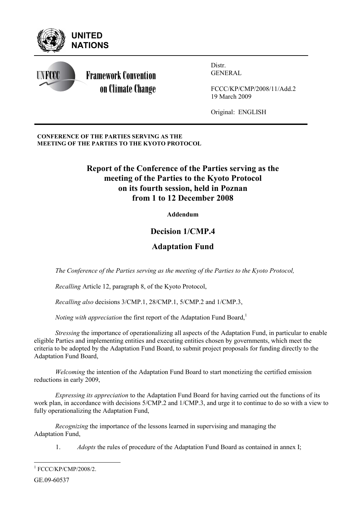

**CONFERENCE OF THE PARTIES SERVING AS THE MEETING OF THE PARTIES TO THE KYOTO PROTOCOL** 

# **Report of the Conference of the Parties serving as the meeting of the Parties to the Kyoto Protocol on its fourth session, held in Poznan from 1 to 12 December 2008**

**Addendum** 

# **Decision 1/CMP.4**

# **Adaptation Fund**

*The Conference of the Parties serving as the meeting of the Parties to the Kyoto Protocol,* 

*Recalling* Article 12, paragraph 8, of the Kyoto Protocol,

*Recalling also* decisions 3/CMP.1, 28/CMP.1, 5/CMP.2 and 1/CMP.3,

*Noting with appreciation* the first report of the Adaptation Fund Board,<sup>1</sup>

*Stressing* the importance of operationalizing all aspects of the Adaptation Fund, in particular to enable eligible Parties and implementing entities and executing entities chosen by governments, which meet the criteria to be adopted by the Adaptation Fund Board, to submit project proposals for funding directly to the Adaptation Fund Board,

*Welcoming* the intention of the Adaptation Fund Board to start monetizing the certified emission reductions in early 2009,

*Expressing its appreciation* to the Adaptation Fund Board for having carried out the functions of its work plan, in accordance with decisions 5/CMP.2 and 1/CMP.3, and urge it to continue to do so with a view to fully operationalizing the Adaptation Fund,

*Recognizing* the importance of the lessons learned in supervising and managing the Adaptation Fund,

1. *Adopts* the rules of procedure of the Adaptation Fund Board as contained in annex I;

| $1$ FCCC/KP/CMP/2008/2. |
|-------------------------|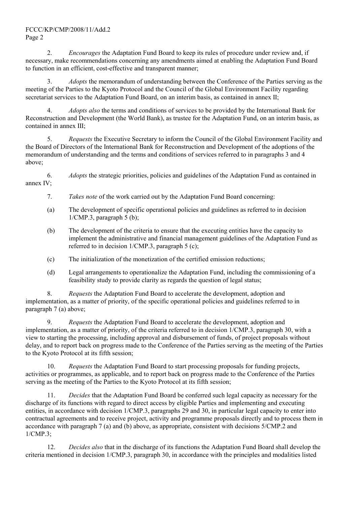2. *Encourages* the Adaptation Fund Board to keep its rules of procedure under review and, if necessary, make recommendations concerning any amendments aimed at enabling the Adaptation Fund Board to function in an efficient, cost-effective and transparent manner;

3. *Adopts* the memorandum of understanding between the Conference of the Parties serving as the meeting of the Parties to the Kyoto Protocol and the Council of the Global Environment Facility regarding secretariat services to the Adaptation Fund Board, on an interim basis, as contained in annex II;

4. *Adopts also* the terms and conditions of services to be provided by the International Bank for Reconstruction and Development (the World Bank), as trustee for the Adaptation Fund, on an interim basis, as contained in annex III;

5. *Requests* the Executive Secretary to inform the Council of the Global Environment Facility and the Board of Directors of the International Bank for Reconstruction and Development of the adoptions of the memorandum of understanding and the terms and conditions of services referred to in paragraphs 3 and 4 above;

6. *Adopts* the strategic priorities, policies and guidelines of the Adaptation Fund as contained in annex IV<sup>.</sup>

- 7. *Takes note* of the work carried out by the Adaptation Fund Board concerning:
- (a) The development of specific operational policies and guidelines as referred to in decision 1/CMP.3, paragraph 5 (b);
- (b) The development of the criteria to ensure that the executing entities have the capacity to implement the administrative and financial management guidelines of the Adaptation Fund as referred to in decision 1/CMP.3, paragraph 5 (c);
- (c) The initialization of the monetization of the certified emission reductions;
- (d) Legal arrangements to operationalize the Adaptation Fund, including the commissioning of a feasibility study to provide clarity as regards the question of legal status;

8. *Requests* the Adaptation Fund Board to accelerate the development, adoption and implementation, as a matter of priority, of the specific operational policies and guidelines referred to in paragraph 7 (a) above;

9. *Requests* the Adaptation Fund Board to accelerate the development, adoption and implementation, as a matter of priority, of the criteria referred to in decision 1/CMP.3, paragraph 30, with a view to starting the processing, including approval and disbursement of funds, of project proposals without delay, and to report back on progress made to the Conference of the Parties serving as the meeting of the Parties to the Kyoto Protocol at its fifth session;

10. *Requests* the Adaptation Fund Board to start processing proposals for funding projects, activities or programmes, as applicable, and to report back on progress made to the Conference of the Parties serving as the meeting of the Parties to the Kyoto Protocol at its fifth session;

11. *Decides* that the Adaptation Fund Board be conferred such legal capacity as necessary for the discharge of its functions with regard to direct access by eligible Parties and implementing and executing entities, in accordance with decision 1/CMP.3, paragraphs 29 and 30, in particular legal capacity to enter into contractual agreements and to receive project, activity and programme proposals directly and to process them in accordance with paragraph 7 (a) and (b) above, as appropriate, consistent with decisions 5/CMP.2 and 1/CMP.3;

12. *Decides also* that in the discharge of its functions the Adaptation Fund Board shall develop the criteria mentioned in decision 1/CMP.3, paragraph 30, in accordance with the principles and modalities listed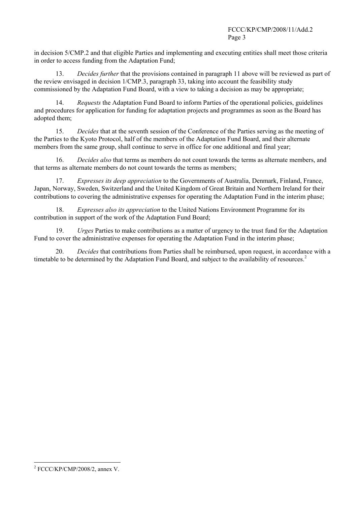in decision 5/CMP.2 and that eligible Parties and implementing and executing entities shall meet those criteria in order to access funding from the Adaptation Fund;

13. *Decides further* that the provisions contained in paragraph 11 above will be reviewed as part of the review envisaged in decision 1/CMP.3, paragraph 33, taking into account the feasibility study commissioned by the Adaptation Fund Board, with a view to taking a decision as may be appropriate;

14. *Requests* the Adaptation Fund Board to inform Parties of the operational policies, guidelines and procedures for application for funding for adaptation projects and programmes as soon as the Board has adopted them;

15. *Decides* that at the seventh session of the Conference of the Parties serving as the meeting of the Parties to the Kyoto Protocol, half of the members of the Adaptation Fund Board, and their alternate members from the same group, shall continue to serve in office for one additional and final year;

16. *Decides also* that terms as members do not count towards the terms as alternate members, and that terms as alternate members do not count towards the terms as members;

17. *Expresses its deep appreciation* to the Governments of Australia, Denmark, Finland, France, Japan, Norway, Sweden, Switzerland and the United Kingdom of Great Britain and Northern Ireland for their contributions to covering the administrative expenses for operating the Adaptation Fund in the interim phase;

18. *Expresses also its appreciation* to the United Nations Environment Programme for its contribution in support of the work of the Adaptation Fund Board;

19. *Urges* Parties to make contributions as a matter of urgency to the trust fund for the Adaptation Fund to cover the administrative expenses for operating the Adaptation Fund in the interim phase;

20. *Decides* that contributions from Parties shall be reimbursed, upon request, in accordance with a timetable to be determined by the Adaptation Fund Board, and subject to the availability of resources.<sup>2</sup>

l  $2$  FCCC/KP/CMP/2008/2, annex V.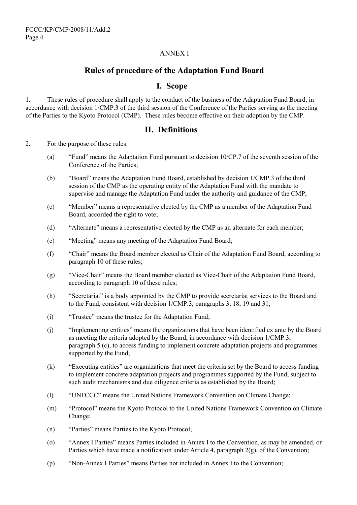## ANNEX I

## **Rules of procedure of the Adaptation Fund Board**

## **I. Scope**

1. These rules of procedure shall apply to the conduct of the business of the Adaptation Fund Board, in accordance with decision 1/CMP.3 of the third session of the Conference of the Parties serving as the meeting of the Parties to the Kyoto Protocol (CMP). These rules become effective on their adoption by the CMP.

## **II. Definitions**

2. For the purpose of these rules:

- (a)  $\frac{4}{5}$  "Fund" means the Adaptation Fund pursuant to decision 10/CP.7 of the seventh session of the Conference of the Parties;
- (b)  $\degree$  "Board" means the Adaptation Fund Board, established by decision 1/CMP.3 of the third session of the CMP as the operating entity of the Adaptation Fund with the mandate to supervise and manage the Adaptation Fund under the authority and guidance of the CMP;
- (c) "Member" means a representative elected by the CMP as a member of the Adaptation Fund Board, accorded the right to vote;
- (d) "Alternate" means a representative elected by the CMP as an alternate for each member;
- (e) "Meeting" means any meeting of the Adaptation Fund Board;
- (f) <sup>"</sup>Chair" means the Board member elected as Chair of the Adaptation Fund Board, according to paragraph 10 of these rules;
- (g) "Vice-Chair" means the Board member elected as Vice-Chair of the Adaptation Fund Board, according to paragraph 10 of these rules;
- (h) "Secretariat" is a body appointed by the CMP to provide secretariat services to the Board and to the Fund, consistent with decision 1/CMP.3, paragraphs 3, 18, 19 and 31;
- (i) <sup>"T</sup>rustee" means the trustee for the Adaptation Fund:
- $(i)$  "Implementing entities" means the organizations that have been identified ex ante by the Board as meeting the criteria adopted by the Board, in accordance with decision 1/CMP.3, paragraph 5 (c), to access funding to implement concrete adaptation projects and programmes supported by the Fund;
- $(k)$  <sup>"</sup>Executing entities" are organizations that meet the criteria set by the Board to access funding to implement concrete adaptation projects and programmes supported by the Fund, subject to such audit mechanisms and due diligence criteria as established by the Board;
- (1) <sup>"</sup>UNFCCC" means the United Nations Framework Convention on Climate Change;
- (m) "Protocol" means the Kyoto Protocol to the United Nations Framework Convention on Climate Change;
- (n) "Parties" means Parties to the Kyoto Protocol;
- (o) <sup>"Annex</sup> I Parties" means Parties included in Annex I to the Convention, as may be amended, or Parties which have made a notification under Article 4, paragraph 2(g), of the Convention;
- (p) <sup>"</sup>Non-Annex I Parties" means Parties not included in Annex I to the Convention;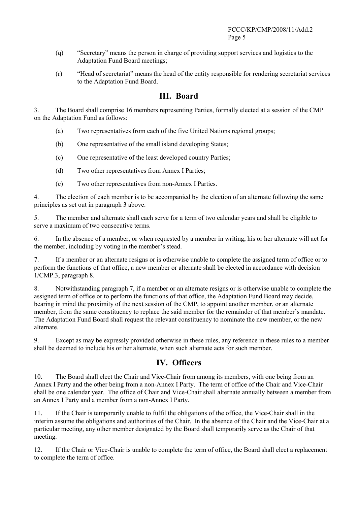- $(q)$  "Secretary" means the person in charge of providing support services and logistics to the Adaptation Fund Board meetings;
- $(r)$  "Head of secretariat" means the head of the entity responsible for rendering secretariat services to the Adaptation Fund Board.

## **III. Board**

3. The Board shall comprise 16 members representing Parties, formally elected at a session of the CMP on the Adaptation Fund as follows:

- (a) Two representatives from each of the five United Nations regional groups;
- (b) One representative of the small island developing States;
- (c) One representative of the least developed country Parties;
- (d) Two other representatives from Annex I Parties;
- (e) Two other representatives from non-Annex I Parties.

4. The election of each member is to be accompanied by the election of an alternate following the same principles as set out in paragraph 3 above.

5. The member and alternate shall each serve for a term of two calendar years and shall be eligible to serve a maximum of two consecutive terms.

6. In the absence of a member, or when requested by a member in writing, his or her alternate will act for the member, including by voting in the member's stead.

7. If a member or an alternate resigns or is otherwise unable to complete the assigned term of office or to perform the functions of that office, a new member or alternate shall be elected in accordance with decision 1/CMP.3, paragraph 8.

8. Notwithstanding paragraph 7, if a member or an alternate resigns or is otherwise unable to complete the assigned term of office or to perform the functions of that office, the Adaptation Fund Board may decide, bearing in mind the proximity of the next session of the CMP, to appoint another member, or an alternate member, from the same constituency to replace the said member for the remainder of that member's mandate. The Adaptation Fund Board shall request the relevant constituency to nominate the new member, or the new alternate.

9. Except as may be expressly provided otherwise in these rules, any reference in these rules to a member shall be deemed to include his or her alternate, when such alternate acts for such member.

## **IV. Officers**

10. The Board shall elect the Chair and Vice-Chair from among its members, with one being from an Annex I Party and the other being from a non-Annex I Party. The term of office of the Chair and Vice-Chair shall be one calendar year. The office of Chair and Vice-Chair shall alternate annually between a member from an Annex I Party and a member from a non-Annex I Party.

11. If the Chair is temporarily unable to fulfil the obligations of the office, the Vice-Chair shall in the interim assume the obligations and authorities of the Chair. In the absence of the Chair and the Vice-Chair at a particular meeting, any other member designated by the Board shall temporarily serve as the Chair of that meeting.

12. If the Chair or Vice-Chair is unable to complete the term of office, the Board shall elect a replacement to complete the term of office.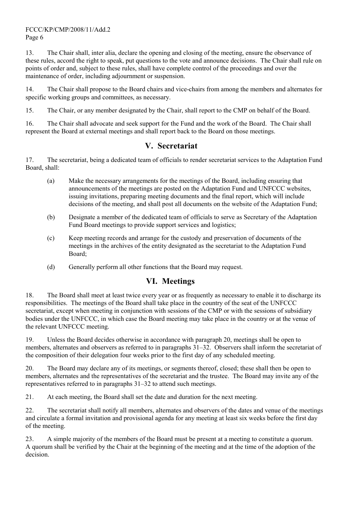#### FCCC/KP/CMP/2008/11/Add.2 Page 6

13. The Chair shall, inter alia, declare the opening and closing of the meeting, ensure the observance of these rules, accord the right to speak, put questions to the vote and announce decisions. The Chair shall rule on points of order and, subject to these rules, shall have complete control of the proceedings and over the maintenance of order, including adjournment or suspension.

14. The Chair shall propose to the Board chairs and vice-chairs from among the members and alternates for specific working groups and committees, as necessary.

15. The Chair, or any member designated by the Chair, shall report to the CMP on behalf of the Board.

16. The Chair shall advocate and seek support for the Fund and the work of the Board. The Chair shall represent the Board at external meetings and shall report back to the Board on those meetings.

## **V. Secretariat**

17. The secretariat, being a dedicated team of officials to render secretariat services to the Adaptation Fund Board, shall:

- (a) Make the necessary arrangements for the meetings of the Board, including ensuring that announcements of the meetings are posted on the Adaptation Fund and UNFCCC websites, issuing invitations, preparing meeting documents and the final report, which will include decisions of the meeting, and shall post all documents on the website of the Adaptation Fund;
- (b) Designate a member of the dedicated team of officials to serve as Secretary of the Adaptation Fund Board meetings to provide support services and logistics;
- (c) Keep meeting records and arrange for the custody and preservation of documents of the meetings in the archives of the entity designated as the secretariat to the Adaptation Fund Board;
- (d) Generally perform all other functions that the Board may request.

## **VI. Meetings**

18. The Board shall meet at least twice every year or as frequently as necessary to enable it to discharge its responsibilities. The meetings of the Board shall take place in the country of the seat of the UNFCCC secretariat, except when meeting in conjunction with sessions of the CMP or with the sessions of subsidiary bodies under the UNFCCC, in which case the Board meeting may take place in the country or at the venue of the relevant UNFCCC meeting.

19. Unless the Board decides otherwise in accordance with paragraph 20, meetings shall be open to members, alternates and observers as referred to in paragraphs 31–32. Observers shall inform the secretariat of the composition of their delegation four weeks prior to the first day of any scheduled meeting.

20. The Board may declare any of its meetings, or segments thereof, closed; these shall then be open to members, alternates and the representatives of the secretariat and the trustee. The Board may invite any of the representatives referred to in paragraphs  $31-32$  to attend such meetings.

21. At each meeting, the Board shall set the date and duration for the next meeting.

22. The secretariat shall notify all members, alternates and observers of the dates and venue of the meetings and circulate a formal invitation and provisional agenda for any meeting at least six weeks before the first day of the meeting.

23. A simple majority of the members of the Board must be present at a meeting to constitute a quorum. A quorum shall be verified by the Chair at the beginning of the meeting and at the time of the adoption of the decision.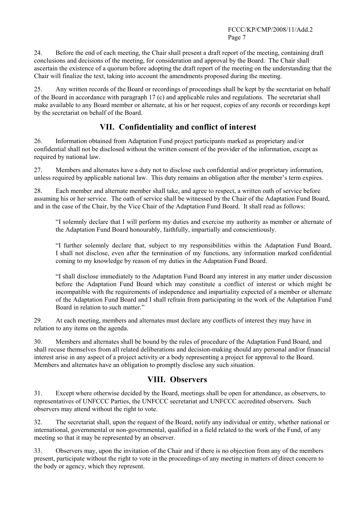24. Before the end of each meeting, the Chair shall present a draft report of the meeting, containing draft conclusions and decisions of the meeting, for consideration and approval by the Board. The Chair shall ascertain the existence of a quorum before adopting the draft report of the meeting on the understanding that the Chair will finalize the text, taking into account the amendments proposed during the meeting.

25. Any written records of the Board or recordings of proceedings shall be kept by the secretariat on behalf of the Board in accordance with paragraph 17 (c) and applicable rules and regulations. The secretariat shall make available to any Board member or alternate, at his or her request, copies of any records or recordings kept by the secretariat on behalf of the Board.

# **VII. Confidentiality and conflict of interest**

26. Information obtained from Adaptation Fund project participants marked as proprietary and/or confidential shall not be disclosed without the written consent of the provider of the information, except as required by national law.

27. Members and alternates have a duty not to disclose such confidential and/or proprietary information, unless required by applicable national law. This duty remains an obligation after the member's term expires.

28. Each member and alternate member shall take, and agree to respect, a written oath of service before assuming his or her service. The oath of service shall be witnessed by the Chair of the Adaptation Fund Board, and in the case of the Chair, by the Vice Chair of the Adaptation Fund Board. It shall read as follows:

ìI solemnly declare that I will perform my duties and exercise my authority as member or alternate of the Adaptation Fund Board honourably, faithfully, impartially and conscientiously.

ìI further solemnly declare that, subject to my responsibilities within the Adaptation Fund Board, I shall not disclose, even after the termination of my functions, any information marked confidential coming to my knowledge by reason of my duties in the Adaptation Fund Board.

ìI shall disclose immediately to the Adaptation Fund Board any interest in any matter under discussion before the Adaptation Fund Board which may constitute a conflict of interest or which might be incompatible with the requirements of independence and impartiality expected of a member or alternate of the Adaptation Fund Board and I shall refrain from participating in the work of the Adaptation Fund Board in relation to such matter."

29. At each meeting, members and alternates must declare any conflicts of interest they may have in relation to any items on the agenda.

30. Members and alternates shall be bound by the rules of procedure of the Adaptation Fund Board, and shall recuse themselves from all related deliberations and decision-making should any personal and/or financial interest arise in any aspect of a project activity or a body representing a project for approval to the Board. Members and alternates have an obligation to promptly disclose any such situation.

## **VIII. Observers**

31. Except where otherwise decided by the Board, meetings shall be open for attendance, as observers, to representatives of UNFCCC Parties, the UNFCCC secretariat and UNFCCC accredited observers. Such observers may attend without the right to vote.

32. The secretariat shall, upon the request of the Board, notify any individual or entity, whether national or international, governmental or non-governmental, qualified in a field related to the work of the Fund, of any meeting so that it may be represented by an observer.

33. Observers may, upon the invitation of the Chair and if there is no objection from any of the members present, participate without the right to vote in the proceedings of any meeting in matters of direct concern to the body or agency, which they represent.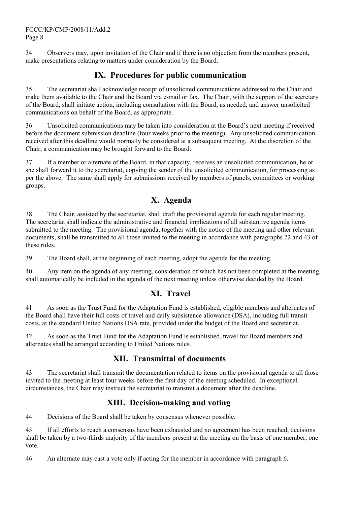34. Observers may, upon invitation of the Chair and if there is no objection from the members present, make presentations relating to matters under consideration by the Board.

# **IX. Procedures for public communication**

35. The secretariat shall acknowledge receipt of unsolicited communications addressed to the Chair and make them available to the Chair and the Board via e-mail or fax. The Chair, with the support of the secretary of the Board, shall initiate action, including consultation with the Board, as needed, and answer unsolicited communications on behalf of the Board, as appropriate.

36. Unsolicited communications may be taken into consideration at the Board's next meeting if received before the document submission deadline (four weeks prior to the meeting). Any unsolicited communication received after this deadline would normally be considered at a subsequent meeting. At the discretion of the Chair, a communication may be brought forward to the Board.

37. If a member or alternate of the Board, in that capacity, receives an unsolicited communication, he or she shall forward it to the secretariat, copying the sender of the unsolicited communication, for processing as per the above. The same shall apply for submissions received by members of panels, committees or working groups.

# **X. Agenda**

38. The Chair, assisted by the secretariat, shall draft the provisional agenda for each regular meeting. The secretariat shall indicate the administrative and financial implications of all substantive agenda items submitted to the meeting. The provisional agenda, together with the notice of the meeting and other relevant documents, shall be transmitted to all those invited to the meeting in accordance with paragraphs 22 and 43 of these rules.

39. The Board shall, at the beginning of each meeting, adopt the agenda for the meeting.

40. Any item on the agenda of any meeting, consideration of which has not been completed at the meeting, shall automatically be included in the agenda of the next meeting unless otherwise decided by the Board.

# **XI. Travel**

41. As soon as the Trust Fund for the Adaptation Fund is established, eligible members and alternates of the Board shall have their full costs of travel and daily subsistence allowance (DSA), including full transit costs, at the standard United Nations DSA rate, provided under the budget of the Board and secretariat.

42. As soon as the Trust Fund for the Adaptation Fund is established, travel for Board members and alternates shall be arranged according to United Nations rules.

# **XII. Transmittal of documents**

43. The secretariat shall transmit the documentation related to items on the provisional agenda to all those invited to the meeting at least four weeks before the first day of the meeting scheduled. In exceptional circumstances, the Chair may instruct the secretariat to transmit a document after the deadline.

# **XIII. Decision-making and voting**

44. Decisions of the Board shall be taken by consensus whenever possible.

45. If all efforts to reach a consensus have been exhausted and no agreement has been reached, decisions shall be taken by a two-thirds majority of the members present at the meeting on the basis of one member, one vote.

46. An alternate may cast a vote only if acting for the member in accordance with paragraph 6.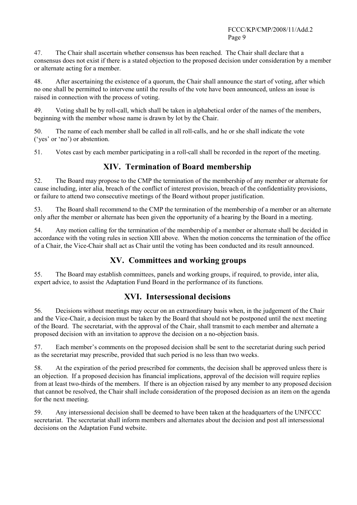47. The Chair shall ascertain whether consensus has been reached. The Chair shall declare that a consensus does not exist if there is a stated objection to the proposed decision under consideration by a member or alternate acting for a member.

48. After ascertaining the existence of a quorum, the Chair shall announce the start of voting, after which no one shall be permitted to intervene until the results of the vote have been announced, unless an issue is raised in connection with the process of voting.

49. Voting shall be by roll-call, which shall be taken in alphabetical order of the names of the members, beginning with the member whose name is drawn by lot by the Chair.

50. The name of each member shall be called in all roll-calls, and he or she shall indicate the vote ( $i$  yes' or  $i$ no') or abstention.

51. Votes cast by each member participating in a roll-call shall be recorded in the report of the meeting.

# **XIV. Termination of Board membership**

52. The Board may propose to the CMP the termination of the membership of any member or alternate for cause including, inter alia, breach of the conflict of interest provision, breach of the confidentiality provisions, or failure to attend two consecutive meetings of the Board without proper justification.

53. The Board shall recommend to the CMP the termination of the membership of a member or an alternate only after the member or alternate has been given the opportunity of a hearing by the Board in a meeting.

54. Any motion calling for the termination of the membership of a member or alternate shall be decided in accordance with the voting rules in section XIII above. When the motion concerns the termination of the office of a Chair, the Vice-Chair shall act as Chair until the voting has been conducted and its result announced.

## **XV. Committees and working groups**

55. The Board may establish committees, panels and working groups, if required, to provide, inter alia, expert advice, to assist the Adaptation Fund Board in the performance of its functions.

## **XVI. Intersessional decisions**

56. Decisions without meetings may occur on an extraordinary basis when, in the judgement of the Chair and the Vice-Chair, a decision must be taken by the Board that should not be postponed until the next meeting of the Board. The secretariat, with the approval of the Chair, shall transmit to each member and alternate a proposed decision with an invitation to approve the decision on a no-objection basis.

57. Each memberís comments on the proposed decision shall be sent to the secretariat during such period as the secretariat may prescribe, provided that such period is no less than two weeks.

58. At the expiration of the period prescribed for comments, the decision shall be approved unless there is an objection. If a proposed decision has financial implications, approval of the decision will require replies from at least two-thirds of the members. If there is an objection raised by any member to any proposed decision that cannot be resolved, the Chair shall include consideration of the proposed decision as an item on the agenda for the next meeting.

59. Any intersessional decision shall be deemed to have been taken at the headquarters of the UNFCCC secretariat. The secretariat shall inform members and alternates about the decision and post all intersessional decisions on the Adaptation Fund website.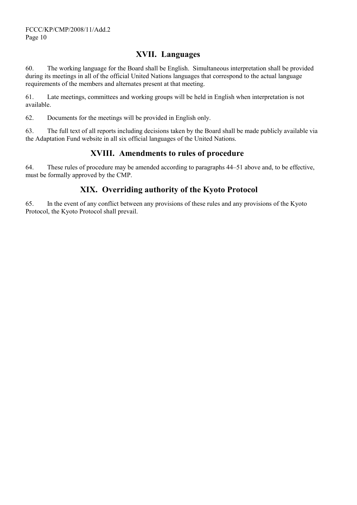## **XVII. Languages**

60. The working language for the Board shall be English. Simultaneous interpretation shall be provided during its meetings in all of the official United Nations languages that correspond to the actual language requirements of the members and alternates present at that meeting.

61. Late meetings, committees and working groups will be held in English when interpretation is not available.

62. Documents for the meetings will be provided in English only.

63. The full text of all reports including decisions taken by the Board shall be made publicly available via the Adaptation Fund website in all six official languages of the United Nations.

## **XVIII. Amendments to rules of procedure**

64. These rules of procedure may be amended according to paragraphs 44–51 above and, to be effective, must be formally approved by the CMP.

# **XIX. Overriding authority of the Kyoto Protocol**

65. In the event of any conflict between any provisions of these rules and any provisions of the Kyoto Protocol, the Kyoto Protocol shall prevail.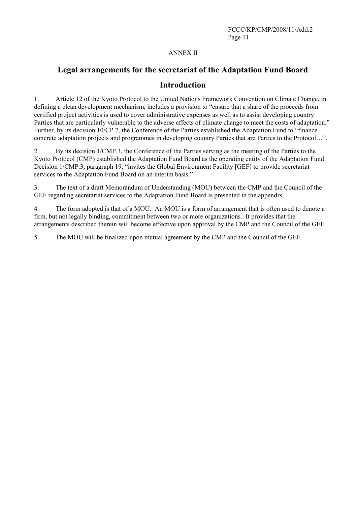#### ANNEX II

# **Legal arrangements for the secretariat of the Adaptation Fund Board Introduction**

1. Article 12 of the Kyoto Protocol to the United Nations Framework Convention on Climate Change, in defining a clean development mechanism, includes a provision to "ensure that a share of the proceeds from certified project activities is used to cover administrative expenses as well as to assist developing country Parties that are particularly vulnerable to the adverse effects of climate change to meet the costs of adaptation.<sup>"</sup> Further, by its decision 10/CP.7, the Conference of the Parties established the Adaptation Fund to "finance" concrete adaptation projects and programmes in developing country Parties that are Parties to the Protocol...".

2. By its decision 1/CMP.3, the Conference of the Parties serving as the meeting of the Parties to the Kyoto Protocol (CMP) established the Adaptation Fund Board as the operating entity of the Adaptation Fund. Decision 1/CMP.3, paragraph 19, "invites the Global Environment Facility [GEF] to provide secretariat services to the Adaptation Fund Board on an interim basis."

3. The text of a draft Memorandum of Understanding (MOU) between the CMP and the Council of the GEF regarding secretariat services to the Adaptation Fund Board is presented in the appendix.

4. The form adopted is that of a MOU. An MOU is a form of arrangement that is often used to denote a firm, but not legally binding, commitment between two or more organizations. It provides that the arrangements described therein will become effective upon approval by the CMP and the Council of the GEF.

5. The MOU will be finalized upon mutual agreement by the CMP and the Council of the GEF.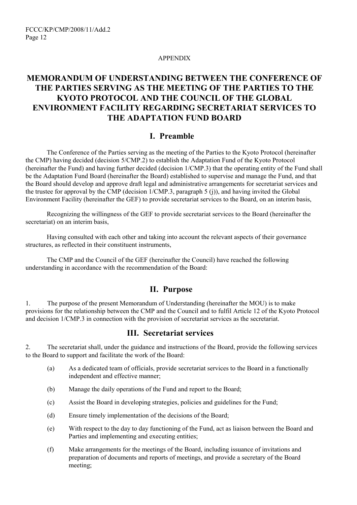#### APPENDIX

# **MEMORANDUM OF UNDERSTANDING BETWEEN THE CONFERENCE OF THE PARTIES SERVING AS THE MEETING OF THE PARTIES TO THE KYOTO PROTOCOL AND THE COUNCIL OF THE GLOBAL ENVIRONMENT FACILITY REGARDING SECRETARIAT SERVICES TO THE ADAPTATION FUND BOARD**

## **I. Preamble**

The Conference of the Parties serving as the meeting of the Parties to the Kyoto Protocol (hereinafter the CMP) having decided (decision 5/CMP.2) to establish the Adaptation Fund of the Kyoto Protocol (hereinafter the Fund) and having further decided (decision 1/CMP.3) that the operating entity of the Fund shall be the Adaptation Fund Board (hereinafter the Board) established to supervise and manage the Fund, and that the Board should develop and approve draft legal and administrative arrangements for secretariat services and the trustee for approval by the CMP (decision 1/CMP.3, paragraph 5 (j)), and having invited the Global Environment Facility (hereinafter the GEF) to provide secretariat services to the Board, on an interim basis,

Recognizing the willingness of the GEF to provide secretariat services to the Board (hereinafter the secretariat) on an interim basis,

Having consulted with each other and taking into account the relevant aspects of their governance structures, as reflected in their constituent instruments,

The CMP and the Council of the GEF (hereinafter the Council) have reached the following understanding in accordance with the recommendation of the Board:

## **II. Purpose**

1. The purpose of the present Memorandum of Understanding (hereinafter the MOU) is to make provisions for the relationship between the CMP and the Council and to fulfil Article 12 of the Kyoto Protocol and decision 1/CMP.3 in connection with the provision of secretariat services as the secretariat.

## **III. Secretariat services**

2. The secretariat shall, under the guidance and instructions of the Board, provide the following services to the Board to support and facilitate the work of the Board:

- (a) As a dedicated team of officials, provide secretariat services to the Board in a functionally independent and effective manner;
- (b) Manage the daily operations of the Fund and report to the Board;
- (c) Assist the Board in developing strategies, policies and guidelines for the Fund;
- (d) Ensure timely implementation of the decisions of the Board;
- (e) With respect to the day to day functioning of the Fund, act as liaison between the Board and Parties and implementing and executing entities;
- (f) Make arrangements for the meetings of the Board, including issuance of invitations and preparation of documents and reports of meetings, and provide a secretary of the Board meeting;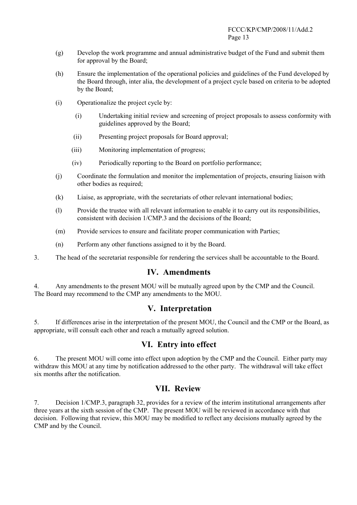- (g) Develop the work programme and annual administrative budget of the Fund and submit them for approval by the Board;
- (h) Ensure the implementation of the operational policies and guidelines of the Fund developed by the Board through, inter alia, the development of a project cycle based on criteria to be adopted by the Board;
- (i) Operationalize the project cycle by:
	- (i) Undertaking initial review and screening of project proposals to assess conformity with guidelines approved by the Board;
	- (ii) Presenting project proposals for Board approval;
	- (iii) Monitoring implementation of progress;
	- (iv) Periodically reporting to the Board on portfolio performance;
- (j) Coordinate the formulation and monitor the implementation of projects, ensuring liaison with other bodies as required;
- (k) Liaise, as appropriate, with the secretariats of other relevant international bodies;
- (l) Provide the trustee with all relevant information to enable it to carry out its responsibilities, consistent with decision 1/CMP.3 and the decisions of the Board;
- (m) Provide services to ensure and facilitate proper communication with Parties;
- (n) Perform any other functions assigned to it by the Board.
- 3. The head of the secretariat responsible for rendering the services shall be accountable to the Board.

## **IV. Amendments**

4. Any amendments to the present MOU will be mutually agreed upon by the CMP and the Council. The Board may recommend to the CMP any amendments to the MOU.

## **V. Interpretation**

5. If differences arise in the interpretation of the present MOU, the Council and the CMP or the Board, as appropriate, will consult each other and reach a mutually agreed solution.

## **VI. Entry into effect**

6. The present MOU will come into effect upon adoption by the CMP and the Council. Either party may withdraw this MOU at any time by notification addressed to the other party. The withdrawal will take effect six months after the notification.

## **VII. Review**

7. Decision 1/CMP.3, paragraph 32, provides for a review of the interim institutional arrangements after three years at the sixth session of the CMP. The present MOU will be reviewed in accordance with that decision. Following that review, this MOU may be modified to reflect any decisions mutually agreed by the CMP and by the Council.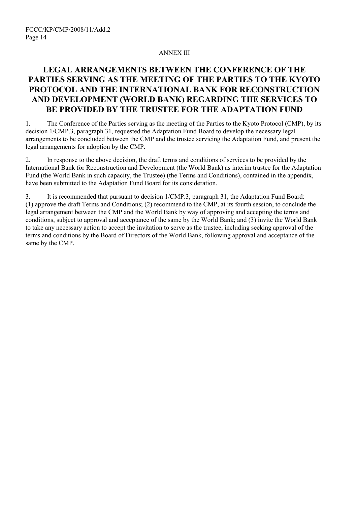#### ANNEX III

# **LEGAL ARRANGEMENTS BETWEEN THE CONFERENCE OF THE PARTIES SERVING AS THE MEETING OF THE PARTIES TO THE KYOTO PROTOCOL AND THE INTERNATIONAL BANK FOR RECONSTRUCTION AND DEVELOPMENT (WORLD BANK) REGARDING THE SERVICES TO BE PROVIDED BY THE TRUSTEE FOR THE ADAPTATION FUND**

1. The Conference of the Parties serving as the meeting of the Parties to the Kyoto Protocol (CMP), by its decision 1/CMP.3, paragraph 31, requested the Adaptation Fund Board to develop the necessary legal arrangements to be concluded between the CMP and the trustee servicing the Adaptation Fund, and present the legal arrangements for adoption by the CMP.

2. In response to the above decision, the draft terms and conditions of services to be provided by the International Bank for Reconstruction and Development (the World Bank) as interim trustee for the Adaptation Fund (the World Bank in such capacity, the Trustee) (the Terms and Conditions), contained in the appendix, have been submitted to the Adaptation Fund Board for its consideration.

3. It is recommended that pursuant to decision 1/CMP.3, paragraph 31, the Adaptation Fund Board: (1) approve the draft Terms and Conditions; (2) recommend to the CMP, at its fourth session, to conclude the legal arrangement between the CMP and the World Bank by way of approving and accepting the terms and conditions, subject to approval and acceptance of the same by the World Bank; and (3) invite the World Bank to take any necessary action to accept the invitation to serve as the trustee, including seeking approval of the terms and conditions by the Board of Directors of the World Bank, following approval and acceptance of the same by the CMP.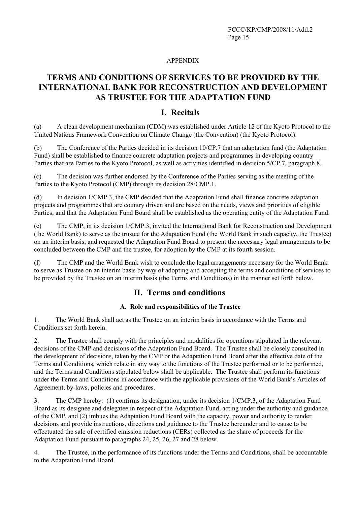#### APPENDIX

# **TERMS AND CONDITIONS OF SERVICES TO BE PROVIDED BY THE INTERNATIONAL BANK FOR RECONSTRUCTION AND DEVELOPMENT AS TRUSTEE FOR THE ADAPTATION FUND**

## **I. Recitals**

(a) A clean development mechanism (CDM) was established under Article 12 of the Kyoto Protocol to the United Nations Framework Convention on Climate Change (the Convention) (the Kyoto Protocol).

(b) The Conference of the Parties decided in its decision 10/CP.7 that an adaptation fund (the Adaptation Fund) shall be established to finance concrete adaptation projects and programmes in developing country Parties that are Parties to the Kyoto Protocol, as well as activities identified in decision 5/CP.7, paragraph 8.

(c) The decision was further endorsed by the Conference of the Parties serving as the meeting of the Parties to the Kyoto Protocol (CMP) through its decision 28/CMP.1.

(d) In decision 1/CMP.3, the CMP decided that the Adaptation Fund shall finance concrete adaptation projects and programmes that are country driven and are based on the needs, views and priorities of eligible Parties, and that the Adaptation Fund Board shall be established as the operating entity of the Adaptation Fund.

(e) The CMP, in its decision 1/CMP.3, invited the International Bank for Reconstruction and Development (the World Bank) to serve as the trustee for the Adaptation Fund (the World Bank in such capacity, the Trustee) on an interim basis, and requested the Adaptation Fund Board to present the necessary legal arrangements to be concluded between the CMP and the trustee, for adoption by the CMP at its fourth session.

(f) The CMP and the World Bank wish to conclude the legal arrangements necessary for the World Bank to serve as Trustee on an interim basis by way of adopting and accepting the terms and conditions of services to be provided by the Trustee on an interim basis (the Terms and Conditions) in the manner set forth below.

## **II. Terms and conditions**

#### **A. Role and responsibilities of the Trustee**

1. The World Bank shall act as the Trustee on an interim basis in accordance with the Terms and Conditions set forth herein.

2. The Trustee shall comply with the principles and modalities for operations stipulated in the relevant decisions of the CMP and decisions of the Adaptation Fund Board. The Trustee shall be closely consulted in the development of decisions, taken by the CMP or the Adaptation Fund Board after the effective date of the Terms and Conditions, which relate in any way to the functions of the Trustee performed or to be performed, and the Terms and Conditions stipulated below shall be applicable. The Trustee shall perform its functions under the Terms and Conditions in accordance with the applicable provisions of the World Bank's Articles of Agreement, by-laws, policies and procedures.

3. The CMP hereby: (1) confirms its designation, under its decision 1/CMP.3, of the Adaptation Fund Board as its designee and delegatee in respect of the Adaptation Fund, acting under the authority and guidance of the CMP, and (2) imbues the Adaptation Fund Board with the capacity, power and authority to render decisions and provide instructions, directions and guidance to the Trustee hereunder and to cause to be effectuated the sale of certified emission reductions (CERs) collected as the share of proceeds for the Adaptation Fund pursuant to paragraphs 24, 25, 26, 27 and 28 below.

4. The Trustee, in the performance of its functions under the Terms and Conditions, shall be accountable to the Adaptation Fund Board.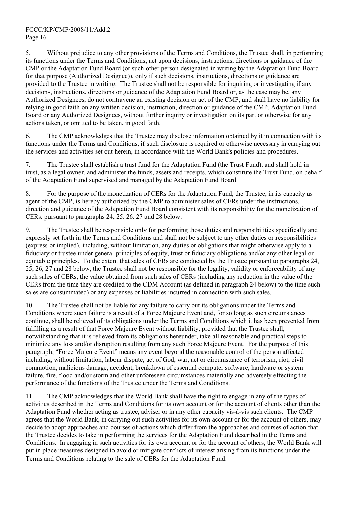5. Without prejudice to any other provisions of the Terms and Conditions, the Trustee shall, in performing its functions under the Terms and Conditions, act upon decisions, instructions, directions or guidance of the CMP or the Adaptation Fund Board (or such other person designated in writing by the Adaptation Fund Board for that purpose (Authorized Designee)), only if such decisions, instructions, directions or guidance are provided to the Trustee in writing. The Trustee shall not be responsible for inquiring or investigating if any decisions, instructions, directions or guidance of the Adaptation Fund Board or, as the case may be, any Authorized Designees, do not contravene an existing decision or act of the CMP, and shall have no liability for relying in good faith on any written decision, instruction, direction or guidance of the CMP, Adaptation Fund Board or any Authorized Designees, without further inquiry or investigation on its part or otherwise for any actions taken, or omitted to be taken, in good faith.

6. The CMP acknowledges that the Trustee may disclose information obtained by it in connection with its functions under the Terms and Conditions, if such disclosure is required or otherwise necessary in carrying out the services and activities set out herein, in accordance with the World Bank's policies and procedures.

7. The Trustee shall establish a trust fund for the Adaptation Fund (the Trust Fund), and shall hold in trust, as a legal owner, and administer the funds, assets and receipts, which constitute the Trust Fund, on behalf of the Adaptation Fund supervised and managed by the Adaptation Fund Board.

8. For the purpose of the monetization of CERs for the Adaptation Fund, the Trustee, in its capacity as agent of the CMP, is hereby authorized by the CMP to administer sales of CERs under the instructions, direction and guidance of the Adaptation Fund Board consistent with its responsibility for the monetization of CERs, pursuant to paragraphs 24, 25, 26, 27 and 28 below.

9. The Trustee shall be responsible only for performing those duties and responsibilities specifically and expressly set forth in the Terms and Conditions and shall not be subject to any other duties or responsibilities (express or implied), including, without limitation, any duties or obligations that might otherwise apply to a fiduciary or trustee under general principles of equity, trust or fiduciary obligations and/or any other legal or equitable principles. To the extent that sales of CERs are conducted by the Trustee pursuant to paragraphs 24, 25, 26, 27 and 28 below, the Trustee shall not be responsible for the legality, validity or enforceability of any such sales of CERs, the value obtained from such sales of CERs (including any reduction in the value of the CERs from the time they are credited to the CDM Account (as defined in paragraph 24 below) to the time such sales are consummated) or any expenses or liabilities incurred in connection with such sales.

10. The Trustee shall not be liable for any failure to carry out its obligations under the Terms and Conditions where such failure is a result of a Force Majeure Event and, for so long as such circumstances continue, shall be relieved of its obligations under the Terms and Conditions which it has been prevented from fulfilling as a result of that Force Majeure Event without liability; provided that the Trustee shall, notwithstanding that it is relieved from its obligations hereunder, take all reasonable and practical steps to minimize any loss and/or disruption resulting from any such Force Majeure Event. For the purpose of this paragraph, "Force Majeure Event" means any event beyond the reasonable control of the person affected including, without limitation, labour dispute, act of God, war, act or circumstance of terrorism, riot, civil commotion, malicious damage, accident, breakdown of essential computer software, hardware or system failure, fire, flood and/or storm and other unforeseen circumstances materially and adversely effecting the performance of the functions of the Trustee under the Terms and Conditions.

11. The CMP acknowledges that the World Bank shall have the right to engage in any of the types of activities described in the Terms and Conditions for its own account or for the account of clients other than the Adaptation Fund whether acting as trustee, adviser or in any other capacity vis-à-vis such clients. The CMP agrees that the World Bank, in carrying out such activities for its own account or for the account of others, may decide to adopt approaches and courses of actions which differ from the approaches and courses of action that the Trustee decides to take in performing the services for the Adaptation Fund described in the Terms and Conditions. In engaging in such activities for its own account or for the account of others, the World Bank will put in place measures designed to avoid or mitigate conflicts of interest arising from its functions under the Terms and Conditions relating to the sale of CERs for the Adaptation Fund.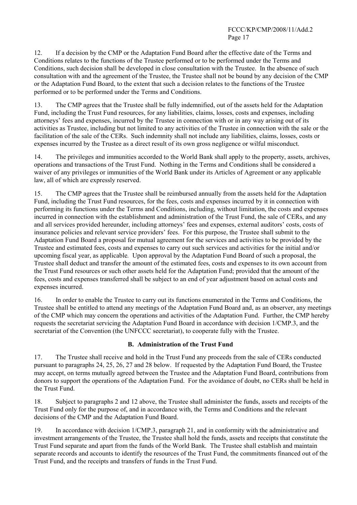12. If a decision by the CMP or the Adaptation Fund Board after the effective date of the Terms and Conditions relates to the functions of the Trustee performed or to be performed under the Terms and Conditions, such decision shall be developed in close consultation with the Trustee. In the absence of such consultation with and the agreement of the Trustee, the Trustee shall not be bound by any decision of the CMP or the Adaptation Fund Board, to the extent that such a decision relates to the functions of the Trustee performed or to be performed under the Terms and Conditions.

13. The CMP agrees that the Trustee shall be fully indemnified, out of the assets held for the Adaptation Fund, including the Trust Fund resources, for any liabilities, claims, losses, costs and expenses, including attorneysí fees and expenses, incurred by the Trustee in connection with or in any way arising out of its activities as Trustee, including but not limited to any activities of the Trustee in connection with the sale or the facilitation of the sale of the CERs. Such indemnity shall not include any liabilities, claims, losses, costs or expenses incurred by the Trustee as a direct result of its own gross negligence or wilful misconduct.

14. The privileges and immunities accorded to the World Bank shall apply to the property, assets, archives, operations and transactions of the Trust Fund. Nothing in the Terms and Conditions shall be considered a waiver of any privileges or immunities of the World Bank under its Articles of Agreement or any applicable law, all of which are expressly reserved.

15. The CMP agrees that the Trustee shall be reimbursed annually from the assets held for the Adaptation Fund, including the Trust Fund resources, for the fees, costs and expenses incurred by it in connection with performing its functions under the Terms and Conditions, including, without limitation, the costs and expenses incurred in connection with the establishment and administration of the Trust Fund, the sale of CERs, and any and all services provided hereunder, including attorneys' fees and expenses, external auditors' costs, costs of insurance policies and relevant service providers' fees. For this purpose, the Trustee shall submit to the Adaptation Fund Board a proposal for mutual agreement for the services and activities to be provided by the Trustee and estimated fees, costs and expenses to carry out such services and activities for the initial and/or upcoming fiscal year, as applicable*.* Upon approval by the Adaptation Fund Board of such a proposal, the Trustee shall deduct and transfer the amount of the estimated fees, costs and expenses to its own account from the Trust Fund resources or such other assets held for the Adaptation Fund; provided that the amount of the fees, costs and expenses transferred shall be subject to an end of year adjustment based on actual costs and expenses incurred.

16. In order to enable the Trustee to carry out its functions enumerated in the Terms and Conditions, the Trustee shall be entitled to attend any meetings of the Adaptation Fund Board and, as an observer, any meetings of the CMP which may concern the operations and activities of the Adaptation Fund. Further, the CMP hereby requests the secretariat servicing the Adaptation Fund Board in accordance with decision 1/CMP.3, and the secretariat of the Convention (the UNFCCC secretariat), to cooperate fully with the Trustee.

#### **B. Administration of the Trust Fund**

17. The Trustee shall receive and hold in the Trust Fund any proceeds from the sale of CERs conducted pursuant to paragraphs 24, 25, 26, 27 and 28 below. If requested by the Adaptation Fund Board, the Trustee may accept, on terms mutually agreed between the Trustee and the Adaptation Fund Board, contributions from donors to support the operations of the Adaptation Fund. For the avoidance of doubt, no CERs shall be held in the Trust Fund.

18. Subject to paragraphs 2 and 12 above, the Trustee shall administer the funds, assets and receipts of the Trust Fund only for the purpose of, and in accordance with, the Terms and Conditions and the relevant decisions of the CMP and the Adaptation Fund Board.

19. In accordance with decision 1/CMP.3, paragraph 21, and in conformity with the administrative and investment arrangements of the Trustee, the Trustee shall hold the funds, assets and receipts that constitute the Trust Fund separate and apart from the funds of the World Bank. The Trustee shall establish and maintain separate records and accounts to identify the resources of the Trust Fund, the commitments financed out of the Trust Fund, and the receipts and transfers of funds in the Trust Fund.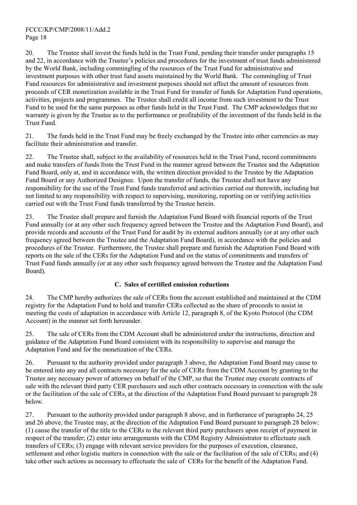20. The Trustee shall invest the funds held in the Trust Fund, pending their transfer under paragraphs 15 and 22, in accordance with the Trustee's policies and procedures for the investment of trust funds administered by the World Bank, including commingling of the resources of the Trust Fund for administrative and investment purposes with other trust fund assets maintained by the World Bank. The commingling of Trust Fund resources for administrative and investment purposes should not affect the amount of resources from proceeds of CER monetization available in the Trust Fund for transfer of funds for Adaptation Fund operations, activities, projects and programmes. The Trustee shall credit all income from such investment to the Trust Fund to be used for the same purposes as other funds held in the Trust Fund. The CMP acknowledges that no warranty is given by the Trustee as to the performance or profitability of the investment of the funds held in the Trust Fund.

21. The funds held in the Trust Fund may be freely exchanged by the Trustee into other currencies as may facilitate their administration and transfer.

22. The Trustee shall, subject to the availability of resources held in the Trust Fund, record commitments and make transfers of funds from the Trust Fund in the manner agreed between the Trustee and the Adaptation Fund Board, only at, and in accordance with, the written direction provided to the Trustee by the Adaptation Fund Board or any Authorized Designee. Upon the transfer of funds, the Trustee shall not have any responsibility for the use of the Trust Fund funds transferred and activities carried out therewith, including but not limited to any responsibility with respect to supervising, monitoring, reporting on or verifying activities carried out with the Trust Fund funds transferred by the Trustee herein.

23. The Trustee shall prepare and furnish the Adaptation Fund Board with financial reports of the Trust Fund annually (or at any other such frequency agreed between the Trustee and the Adaptation Fund Board), and provide records and accounts of the Trust Fund for audit by its external auditors annually (or at any other such frequency agreed between the Trustee and the Adaptation Fund Board), in accordance with the policies and procedures of the Trustee. Furthermore, the Trustee shall prepare and furnish the Adaptation Fund Board with reports on the sale of the CERs for the Adaptation Fund and on the status of commitments and transfers of Trust Fund funds annually (or at any other such frequency agreed between the Trustee and the Adaptation Fund Board).

#### **C. Sales of certified emission reductions**

24. The CMP hereby authorizes the sale of CERs from the account established and maintained at the CDM registry for the Adaptation Fund to hold and transfer CERs collected as the share of proceeds to assist in meeting the costs of adaptation in accordance with Article 12, paragraph 8, of the Kyoto Protocol (the CDM Account) in the manner set forth hereunder.

25. The sale of CERs from the CDM Account shall be administered under the instructions, direction and guidance of the Adaptation Fund Board consistent with its responsibility to supervise and manage the Adaptation Fund and for the monetization of the CERs.

26. Pursuant to the authority provided under paragraph 3 above, the Adaptation Fund Board may cause to be entered into any and all contracts necessary for the sale of CERs from the CDM Account by granting to the Trustee any necessary power of attorney on behalf of the CMP, so that the Trustee may execute contracts of sale with the relevant third party CER purchasers and such other contracts necessary in connection with the sale or the facilitation of the sale of CERs, at the direction of the Adaptation Fund Board pursuant to paragraph 28 below.

27. Pursuant to the authority provided under paragraph 8 above, and in furtherance of paragraphs 24, 25 and 26 above, the Trustee may, at the direction of the Adaptation Fund Board pursuant to paragraph 28 below: (1) cause the transfer of the title to the CERs to the relevant third party purchasers upon receipt of payment in respect of the transfer; (2) enter into arrangements with the CDM Registry Administrator to effectuate such transfers of CERs; (3) engage with relevant service providers for the purposes of execution, clearance, settlement and other logistic matters in connection with the sale or the facilitation of the sale of CERs; and (4) take other such actions as necessary to effectuate the sale of CERs for the benefit of the Adaptation Fund.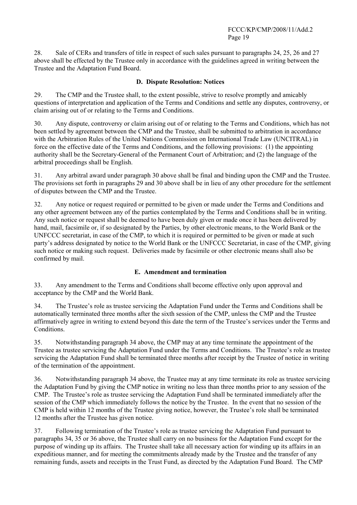28. Sale of CERs and transfers of title in respect of such sales pursuant to paragraphs 24, 25, 26 and 27 above shall be effected by the Trustee only in accordance with the guidelines agreed in writing between the Trustee and the Adaptation Fund Board.

#### **D. Dispute Resolution: Notices**

29. The CMP and the Trustee shall, to the extent possible, strive to resolve promptly and amicably questions of interpretation and application of the Terms and Conditions and settle any disputes, controversy, or claim arising out of or relating to the Terms and Conditions.

30. Any dispute, controversy or claim arising out of or relating to the Terms and Conditions, which has not been settled by agreement between the CMP and the Trustee, shall be submitted to arbitration in accordance with the Arbitration Rules of the United Nations Commission on International Trade Law (UNCITRAL) in force on the effective date of the Terms and Conditions, and the following provisions: (1) the appointing authority shall be the Secretary-General of the Permanent Court of Arbitration; and (2) the language of the arbitral proceedings shall be English.

31. Any arbitral award under paragraph 30 above shall be final and binding upon the CMP and the Trustee. The provisions set forth in paragraphs 29 and 30 above shall be in lieu of any other procedure for the settlement of disputes between the CMP and the Trustee.

32. Any notice or request required or permitted to be given or made under the Terms and Conditions and any other agreement between any of the parties contemplated by the Terms and Conditions shall be in writing. Any such notice or request shall be deemed to have been duly given or made once it has been delivered by hand, mail, facsimile or, if so designated by the Parties, by other electronic means, to the World Bank or the UNFCCC secretariat, in case of the CMP, to which it is required or permitted to be given or made at such party's address designated by notice to the World Bank or the UNFCCC Secretariat, in case of the CMP, giving such notice or making such request. Deliveries made by facsimile or other electronic means shall also be confirmed by mail.

#### **E. Amendment and termination**

33. Any amendment to the Terms and Conditions shall become effective only upon approval and acceptance by the CMP and the World Bank.

34. The Trusteeís role as trustee servicing the Adaptation Fund under the Terms and Conditions shall be automatically terminated three months after the sixth session of the CMP, unless the CMP and the Trustee affirmatively agree in writing to extend beyond this date the term of the Trustee's services under the Terms and Conditions.

35. Notwithstanding paragraph 34 above, the CMP may at any time terminate the appointment of the Trustee as trustee servicing the Adaptation Fund under the Terms and Conditions. The Trustee's role as trustee servicing the Adaptation Fund shall be terminated three months after receipt by the Trustee of notice in writing of the termination of the appointment.

36. Notwithstanding paragraph 34 above, the Trustee may at any time terminate its role as trustee servicing the Adaptation Fund by giving the CMP notice in writing no less than three months prior to any session of the CMP. The Trustee's role as trustee servicing the Adaptation Fund shall be terminated immediately after the session of the CMP which immediately follows the notice by the Trustee. In the event that no session of the CMP is held within 12 months of the Trustee giving notice, however, the Trustee's role shall be terminated 12 months after the Trustee has given notice.

37. Following termination of the Trustee's role as trustee servicing the Adaptation Fund pursuant to paragraphs 34, 35 or 36 above, the Trustee shall carry on no business for the Adaptation Fund except for the purpose of winding up its affairs. The Trustee shall take all necessary action for winding up its affairs in an expeditious manner, and for meeting the commitments already made by the Trustee and the transfer of any remaining funds, assets and receipts in the Trust Fund, as directed by the Adaptation Fund Board. The CMP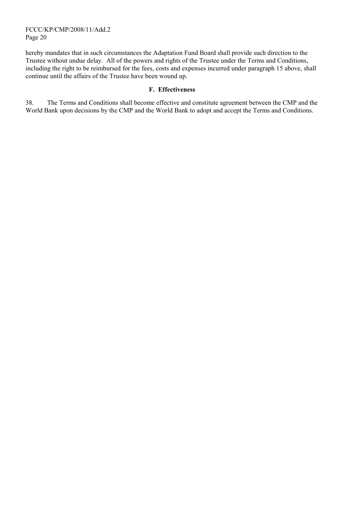FCCC/KP/CMP/2008/11/Add.2 Page 20

hereby mandates that in such circumstances the Adaptation Fund Board shall provide such direction to the Trustee without undue delay. All of the powers and rights of the Trustee under the Terms and Conditions, including the right to be reimbursed for the fees, costs and expenses incurred under paragraph 15 above, shall continue until the affairs of the Trustee have been wound up.

#### **F. Effectiveness**

38. The Terms and Conditions shall become effective and constitute agreement between the CMP and the World Bank upon decisions by the CMP and the World Bank to adopt and accept the Terms and Conditions.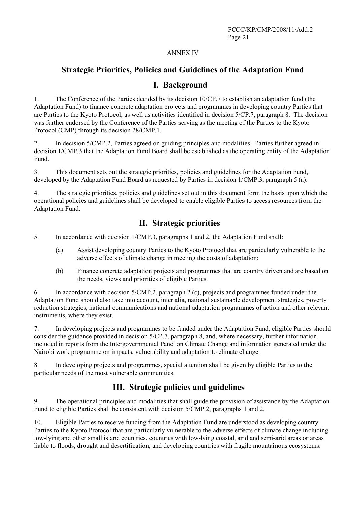#### ANNEX IV

## **Strategic Priorities, Policies and Guidelines of the Adaptation Fund**

## **I. Background**

1. The Conference of the Parties decided by its decision 10/CP.7 to establish an adaptation fund (the Adaptation Fund) to finance concrete adaptation projects and programmes in developing country Parties that are Parties to the Kyoto Protocol, as well as activities identified in decision 5/CP.7, paragraph 8. The decision was further endorsed by the Conference of the Parties serving as the meeting of the Parties to the Kyoto Protocol (CMP) through its decision 28/CMP.1.

2. In decision 5/CMP.2, Parties agreed on guiding principles and modalities. Parties further agreed in decision 1/CMP.3 that the Adaptation Fund Board shall be established as the operating entity of the Adaptation Fund.

3. This document sets out the strategic priorities, policies and guidelines for the Adaptation Fund, developed by the Adaptation Fund Board as requested by Parties in decision 1/CMP.3, paragraph 5 (a).

4. The strategic priorities, policies and guidelines set out in this document form the basis upon which the operational policies and guidelines shall be developed to enable eligible Parties to access resources from the Adaptation Fund.

## **II. Strategic priorities**

- 5. In accordance with decision 1/CMP.3, paragraphs 1 and 2, the Adaptation Fund shall:
	- (a) Assist developing country Parties to the Kyoto Protocol that are particularly vulnerable to the adverse effects of climate change in meeting the costs of adaptation;
	- (b) Finance concrete adaptation projects and programmes that are country driven and are based on the needs, views and priorities of eligible Parties.

6. In accordance with decision 5/CMP.2, paragraph 2 (c), projects and programmes funded under the Adaptation Fund should also take into account, inter alia, national sustainable development strategies, poverty reduction strategies, national communications and national adaptation programmes of action and other relevant instruments, where they exist.

7. In developing projects and programmes to be funded under the Adaptation Fund, eligible Parties should consider the guidance provided in decision 5/CP.7, paragraph 8, and, where necessary, further information included in reports from the Intergovernmental Panel on Climate Change and information generated under the Nairobi work programme on impacts, vulnerability and adaptation to climate change.

8. In developing projects and programmes, special attention shall be given by eligible Parties to the particular needs of the most vulnerable communities.

# **III. Strategic policies and guidelines**

9. The operational principles and modalities that shall guide the provision of assistance by the Adaptation Fund to eligible Parties shall be consistent with decision 5/CMP.2, paragraphs 1 and 2.

10. Eligible Parties to receive funding from the Adaptation Fund are understood as developing country Parties to the Kyoto Protocol that are particularly vulnerable to the adverse effects of climate change including low-lying and other small island countries, countries with low-lying coastal, arid and semi-arid areas or areas liable to floods, drought and desertification, and developing countries with fragile mountainous ecosystems.